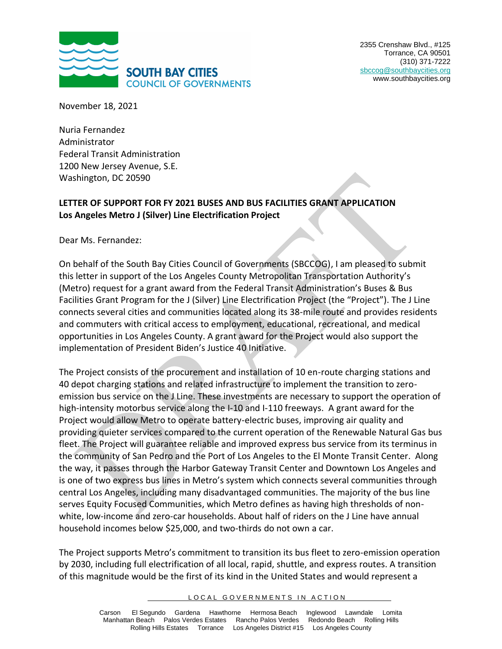

November 18, 2021

Nuria Fernandez Administrator Federal Transit Administration 1200 New Jersey Avenue, S.E. Washington, DC 20590

## **LETTER OF SUPPORT FOR FY 2021 BUSES AND BUS FACILITIES GRANT APPLICATION Los Angeles Metro J (Silver) Line Electrification Project**

Dear Ms. Fernandez:

On behalf of the South Bay Cities Council of Governments (SBCCOG), I am pleased to submit this letter in support of the Los Angeles County Metropolitan Transportation Authority's (Metro) request for a grant award from the Federal Transit Administration's Buses & Bus Facilities Grant Program for the J (Silver) Line Electrification Project (the "Project"). The J Line connects several cities and communities located along its 38-mile route and provides residents and commuters with critical access to employment, educational, recreational, and medical opportunities in Los Angeles County. A grant award for the Project would also support the implementation of President Biden's Justice 40 Initiative.

The Project consists of the procurement and installation of 10 en-route charging stations and 40 depot charging stations and related infrastructure to implement the transition to zeroemission bus service on the J Line. These investments are necessary to support the operation of high-intensity motorbus service along the I-10 and I-110 freeways. A grant award for the Project would allow Metro to operate battery-electric buses, improving air quality and providing quieter services compared to the current operation of the Renewable Natural Gas bus fleet. The Project will guarantee reliable and improved express bus service from its terminus in the community of San Pedro and the Port of Los Angeles to the El Monte Transit Center. Along the way, it passes through the Harbor Gateway Transit Center and Downtown Los Angeles and is one of two express bus lines in Metro's system which connects several communities through central Los Angeles, including many disadvantaged communities. The majority of the bus line serves Equity Focused Communities, which Metro defines as having high thresholds of nonwhite, low-income and zero-car households. About half of riders on the J Line have annual household incomes below \$25,000, and two-thirds do not own a car.

The Project supports Metro's commitment to transition its bus fleet to zero-emission operation by 2030, including full electrification of all local, rapid, shuttle, and express routes. A transition of this magnitude would be the first of its kind in the United States and would represent a

## LOCAL GOVERNMENTS IN ACTION